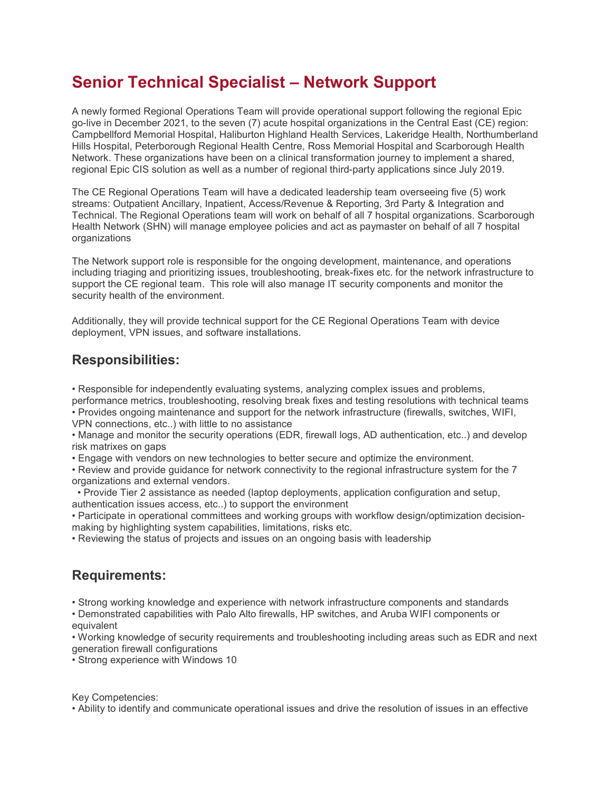## Senior Technical Specialist – Network Support

A newly formed Regional Operations Team will provide operational support following the regional Epic go-live in December 2021, to the seven (7) acute hospital organizations in the Central East (CE) region: Campbellford Memorial Hospital, Haliburton Highland Health Services, Lakeridge Health, Northumberland Hills Hospital, Peterborough Regional Health Centre, Ross Memorial Hospital and Scarborough Health Network. These organizations have been on a clinical transformation journey to implement a shared, regional Epic CIS solution as well as a number of regional third-party applications since July 2019.

The CE Regional Operations Team will have a dedicated leadership team overseeing five (5) work streams: Outpatient Ancillary, Inpatient, Access/Revenue & Reporting, 3rd Party & Integration and Technical. The Regional Operations team will work on behalf of all 7 hospital organizations. Scarborough Health Network (SHN) will manage employee policies and act as paymaster on behalf of all 7 hospital organizations

The Network support role is responsible for the ongoing development, maintenance, and operations including triaging and prioritizing issues, troubleshooting, break-fixes etc. for the network infrastructure to support the CE regional team. This role will also manage IT security components and monitor the security health of the environment.

Additionally, they will provide technical support for the CE Regional Operations Team with device deployment, VPN issues, and software installations.

## Responsibilities:

• Responsible for independently evaluating systems, analyzing complex issues and problems, performance metrics, troubleshooting, resolving break fixes and testing resolutions with technical teams • Provides ongoing maintenance and support for the network infrastructure (firewalls, switches, WIFI,

VPN connections, etc..) with little to no assistance

• Manage and monitor the security operations (EDR, firewall logs, AD authentication, etc..) and develop risk matrixes on gaps

• Engage with vendors on new technologies to better secure and optimize the environment.

• Review and provide guidance for network connectivity to the regional infrastructure system for the 7 organizations and external vendors.

 • Provide Tier 2 assistance as needed (laptop deployments, application configuration and setup, authentication issues access, etc..) to support the environment

• Participate in operational committees and working groups with workflow design/optimization decisionmaking by highlighting system capabilities, limitations, risks etc.

• Reviewing the status of projects and issues on an ongoing basis with leadership

## Requirements:

• Strong working knowledge and experience with network infrastructure components and standards

• Demonstrated capabilities with Palo Alto firewalls, HP switches, and Aruba WIFI components or equivalent

• Working knowledge of security requirements and troubleshooting including areas such as EDR and next generation firewall configurations

• Strong experience with Windows 10

Key Competencies:

• Ability to identify and communicate operational issues and drive the resolution of issues in an effective